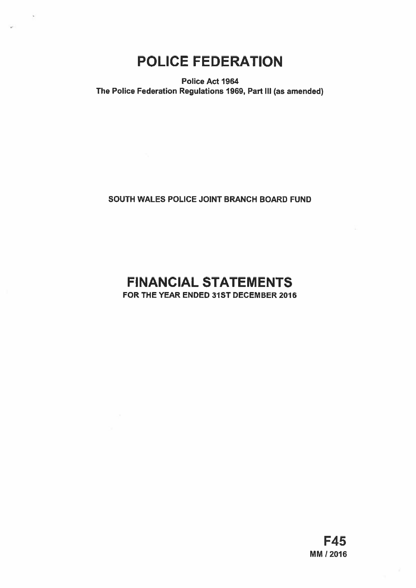# POLICE FEDERATION

Police Act 1964 The Police Federation Regulations 1969, Part III (as amended)

### SOUTH WALES POLICE JOINT BRANCH BOARD FUND

## FINANCIAL STATEMENTS FOR THE YEAR ENDED 31ST DECEMBER 2016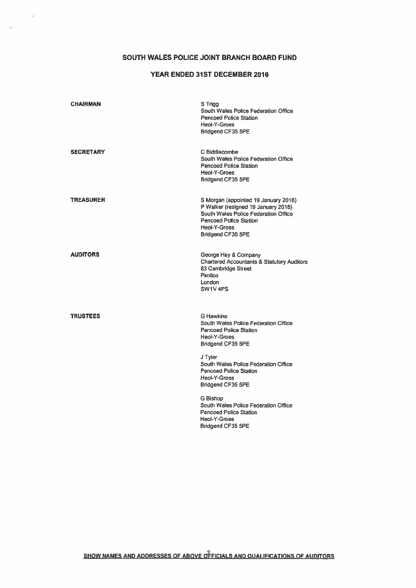### SOUTH WALES POLICE JOINT BRANCH BOARD FUND

 $\tilde{\psi}$ 

Ñ

### YEAR ENDED 31ST DECEMBER 2016

| CHAIRMAN         | S Trigg<br>South Wales Police Federation Office<br><b>Pencoed Police Station</b><br>Heol-Y-Groes<br><b>Bridgend CF35 5PE</b>                                                              |
|------------------|-------------------------------------------------------------------------------------------------------------------------------------------------------------------------------------------|
| SECRETARY        | C Biddlecombe<br>South Wales Police Federation Office<br><b>Pencoed Police Station</b><br><b>Heol-Y-Groes</b><br>Bridgend CF35 5PE                                                        |
| <b>TREASURER</b> | S Morgan (appointed 19 January 2016)<br>P Walker (resigned 19 January 2016)<br>South Wales Police Federation Office<br><b>Pencoed Police Station</b><br>Heol-Y-Groes<br>Bridgend CF35 5PE |
| AUDITORS         | George Hay & Company<br><b>Chartered Accountants &amp; Statutory Auditors</b><br>83 Cambridge Street<br>Pimlico<br>London<br>SW1V4PS                                                      |
| <b>TRUSTEES</b>  | <b>G Hawkins</b><br>South Wales Police Federation Office<br><b>Pencoed Police Station</b><br><b>Heol-Y-Groes</b><br>Bridgend CF35 5PE                                                     |
|                  | J Tyler<br>South Wales Police Federation Office<br><b>Pencoed Police Station</b><br><b>Heol-Y-Groes</b><br>Bridgend CF35 5PE                                                              |
|                  | G Bishop<br>South Wales Police Federation Office<br><b>Pencoed Police Station</b><br><b>Heol-Y-Groes</b><br><b>Bridgend CF35 5PE</b>                                                      |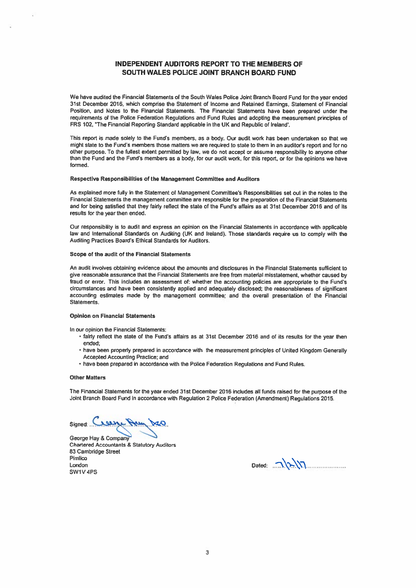### INDEPENDENT AUDITORS REPORT TO THE MEMBERS OF SOUTH WALES POLICE JOINT BRANCH BOARD FUND

We have audited the Financial Statements of the South Wales Police Joint Branch Board Fund for the year ended 31st December 2016, which comprise the Statement of Income and Retained Earnings, Statement of Financial Position, and Notes to the Financial Statements. The Financial Statements have been prepared under the requirements of the Police Federation Regulations and Fund Rules and adopting the measurement principles of FRS 102, "The Financial Reporting Standard applicable in the UK and Republic of Ireland'.

This repor<sup>t</sup> is made solely to the Fund's members, as <sup>a</sup> body. Our audit work has been undertaken so that we might state to the Fund's members those matters we are required to state to them in an auditor's repor<sup>t</sup> and for no other purpose. To the fullest extent permitted by Law, we do not accep<sup>t</sup> or assume responsibility to anyone other than the Fund and the Fund's members as <sup>a</sup> body, for our audit work, for this report, or for the opinions we have formed.

### Respective Responsibilities of the Management Committee and Auditors

As explained more fully in the Statement of Management Committee's Responsibilities set out in the notes to the Financial Statements the managemen<sup>t</sup> committee are responsible for the preparation of the Financial Statements and for being satisfied that they fairly reflect the state of the Fund's affairs as at 31st December 2016 and of its results for the year then ended.

Our responsibility is to audit and express an opinion on the Financial Statements in accordance with applicable law and International Standards on Auditing (UK and Ireland). Those standards require us to comply with the Auditing Practices Board's Ethical Standards for Auditors.

#### Scope of the audit of the Financial Statements

An audit involves obtaining evidence about the amounts and disclosures in the Financial Statements sufficient to <sup>g</sup>ive reasonable assurance that the Financial Statements are free from material misstatement, whether caused by fraud or error. This includes an assessment of: whether the accounting policies are appropriate to the Fund's circumstances and have been consistently applied and adequately disclosed; the reasonableness of significant accounting estimates made by the managemen<sup>t</sup> committee; and the overall presentation of the Financial Statements.

### Opinion on Financial Statements

In our opinion the Financial Statements:

- fairly reflect the state of the Fund's affairs as at 31st December 2016 and of its results for the year then ended;
- have been properly prepare<sup>d</sup> in accordance with the measurement principles of United Kingdom Generally Accepted Accounting Practice; and
- have been prepared in accordance with the Police Federation Regulations and Fund Rules.

### Other Matters

The Financial Statements for the year ended 31st December <sup>2016</sup> includes all funds raised for the purpose of the Joint Branch Board Fund in accordance with Regulation <sup>2</sup> Police Federation (Amendment) Regulations 2015.

Signed: Creans

George Hay & Company Chartered Accountants & Statutory Auditors 63 cambridge Street Pimlico London Dated: ..N'\\'\ SW1V4PS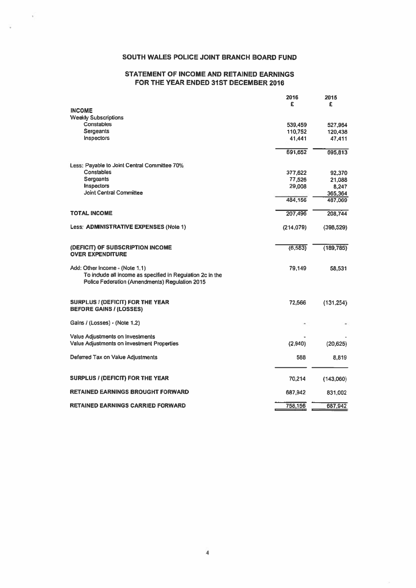### SOUTH WALES POLICE JOINT BRANCH BOARD FUND

Ã.

### STATEMENT OF INCOME AND RETAINED EARNINGS FOR THE YEAR ENDED 31ST DECEMBER 2016

| SOUTH WALES POLICE JOINT BRANCH BOARD FUND                                                                   |                   |                    |
|--------------------------------------------------------------------------------------------------------------|-------------------|--------------------|
| <b>STATEMENT OF INCOME AND RETAINED EARNINGS</b><br>FOR THE YEAR ENDED 31ST DECEMBER 2016                    |                   |                    |
|                                                                                                              | 2016              | 2015               |
| <b>INCOME</b>                                                                                                | £                 | £                  |
| <b>Weekly Subscriptions</b>                                                                                  |                   |                    |
| Constables                                                                                                   | 539,459           | 527,964            |
| Sergeants<br>Inspectors                                                                                      | 110,752<br>41,441 | 120,438<br>47.411  |
|                                                                                                              | 691,652           | 695,813            |
|                                                                                                              |                   |                    |
| Less: Payable to Joint Central Committee 70%<br>Constables                                                   | 377,622           | 92.370             |
| Sergeants                                                                                                    | 77,526            | 21,088             |
| Inspectors                                                                                                   | 29,008            | 8,247              |
| Joint Central Committee                                                                                      | 484,156           | 365,364<br>487,069 |
| <b>TOTAL INCOME</b>                                                                                          | 207,496           | 208,744            |
| Less: ADMINISTRATIVE EXPENSES (Note 1)                                                                       | (214, 079)        | (398, 529)         |
|                                                                                                              |                   |                    |
| (DEFICIT) OF SUBSCRIPTION INCOME                                                                             | (6, 583)          | (189, 785)         |
| <b>OVER EXPENDITURE</b>                                                                                      |                   |                    |
| Add: Other Income - (Note 1.1)                                                                               | 79,149            | 58,531             |
| To include all income as specified in Regulation 2c in the<br>Police Federation (Amendments) Regulation 2015 |                   |                    |
|                                                                                                              |                   |                    |
| <b>SURPLUS / (DEFICIT) FOR THE YEAR</b>                                                                      | 72,566            | (131, 254)         |
| <b>BEFORE GAINS / (LOSSES)</b>                                                                               |                   |                    |
| Gains / (Losses) - (Note 1.2)                                                                                |                   |                    |
| Value Adjustments on Investments                                                                             |                   |                    |
| Value Adjustments on Investment Properties                                                                   | (2,940)           | (20, 625)          |
| Deferred Tax on Value Adjustments                                                                            | 588               | 8,819              |
|                                                                                                              |                   |                    |
| <b>SURPLUS / (DEFICIT) FOR THE YEAR</b>                                                                      | 70,214            | (143,060)          |
| <b>RETAINED EARNINGS BROUGHT FORWARD</b>                                                                     | 687,942           | 831,002            |
| <b>RETAINED EARNINGS CARRIED FORWARD</b>                                                                     | 758,156           | 687,942            |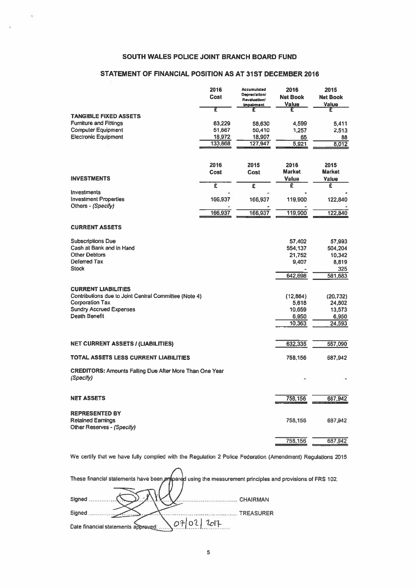### SOUTH WALES POLICE JOINT BRANCH BOARD FUND

 $\hat{\phantom{a}}$ 

### STATEMENT OF FINANCIAL POSITION AS AT 31ST DECEMBER 2016

| <b>SOUTH WALES POLICE JOINT BRANCH BOARD FUND</b>              |              |                                          |                         |                         |
|----------------------------------------------------------------|--------------|------------------------------------------|-------------------------|-------------------------|
|                                                                |              |                                          |                         |                         |
| STATEMENT OF FINANCIAL POSITION AS AT 31ST DECEMBER 2016       |              |                                          |                         |                         |
|                                                                |              |                                          |                         |                         |
|                                                                | 2016<br>Cost | Accumulated<br>Depreciation/             | 2016<br><b>Net Book</b> | 2015<br><b>Net Book</b> |
|                                                                |              | <b>Revaluation/</b><br><b>Impairment</b> | Value                   | <b>Value</b>            |
|                                                                | T            | £                                        | £                       | £                       |
| <b>TANGIBLE FIXED ASSETS</b><br><b>Furniture and Fittings</b>  | 63,229       | 58,630                                   | 4,599                   | 5,411                   |
| <b>Computer Equipment</b>                                      | 51,667       | 50,410                                   | 1,257                   | 2,513                   |
| <b>Electronic Equipment</b>                                    | 18,972       | 18,907                                   | 65                      | 88                      |
|                                                                | 133,868      | 127,947                                  | 5.921                   | 8,012                   |
|                                                                |              |                                          |                         |                         |
|                                                                | 2016         | 2015                                     | 2016                    | 2015                    |
| <b>INVESTMENTS</b>                                             | Cost         | Cost                                     | <b>Market</b><br>Value  | <b>Market</b><br>Value  |
|                                                                | Ē            | $\overline{\epsilon}$                    | £                       | £                       |
| <b>Investments</b><br><b>Investment Properties</b>             | 166,937      | 166,937                                  | 119,900                 | 122,840                 |
| Others - (Specify)                                             |              |                                          |                         |                         |
|                                                                | 166,937      | 166,937                                  | 119,900                 | 122,840                 |
| <b>CURRENT ASSETS</b>                                          |              |                                          |                         |                         |
|                                                                |              |                                          |                         |                         |
| <b>Subscriptions Due</b><br>Cash at Bank and in Hand           |              |                                          | 57,402                  | 57,993                  |
| <b>Other Debtors</b>                                           |              |                                          | 554,137<br>21,752       | 504,204<br>10,342       |
| Deferred Tax                                                   |              |                                          | 9,407                   | 8,819                   |
| <b>Stock</b>                                                   |              |                                          |                         | 325                     |
|                                                                |              |                                          | 642,698                 | 581,683                 |
| <b>CURRENT LIABILITIES</b>                                     |              |                                          |                         |                         |
| Contributions due to Joint Central Committee (Note 4)          |              |                                          | (12, 864)               | (20, 732)               |
| <b>Corporation Tax</b>                                         |              |                                          | 5,618                   | 24,802                  |
| <b>Sundry Accrued Expenses</b><br><b>Death Benefit</b>         |              |                                          | 10,659<br>6,950         | 13,573<br>6,950         |
|                                                                |              |                                          | 10,363                  | 24,593                  |
|                                                                |              |                                          |                         |                         |
| <b>NET CURRENT ASSETS / (LIABILITIES)</b>                      |              |                                          | 632,335                 | 557,090                 |
|                                                                |              |                                          |                         |                         |
| TOTAL ASSETS LESS CURRENT LIABILITIES                          |              |                                          | 758,156                 | 687,942                 |
| <b>CREDITORS: Amounts Falling Due After More Than One Year</b> |              |                                          |                         |                         |
| (Specify)                                                      |              |                                          |                         |                         |
|                                                                |              |                                          |                         |                         |
| <b>NET ASSETS</b>                                              |              |                                          | 758,156                 | 687,942                 |
| <b>REPRESENTED BY</b>                                          |              |                                          |                         |                         |
| <b>Retained Earnings</b>                                       |              |                                          | 758,156                 | 687,942                 |
| Other Reserves - (Specify)                                     |              |                                          |                         |                         |
|                                                                |              |                                          | 758,156                 | 687,942                 |

We certify that we have fully complied with the Regulation <sup>2</sup> Police Federation (Amendment) Regulations 2015

| These financial statements have been propored using the measurement principles and provisions of FRS 102. |
|-----------------------------------------------------------------------------------------------------------|
|                                                                                                           |
| Signed<br><b>CHAIRMAN</b>                                                                                 |
| Signed<br><b>TREASURER</b>                                                                                |
|                                                                                                           |
| Date financial statements approved:                                                                       |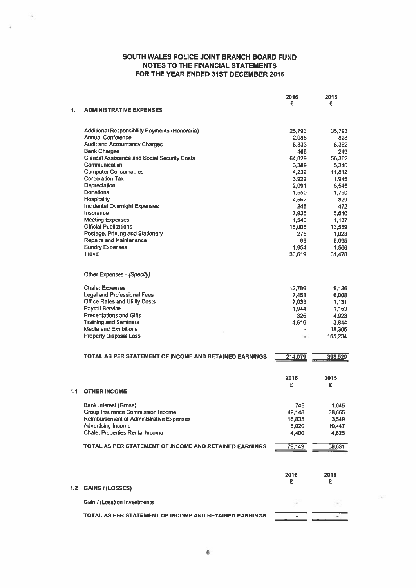$\lambda$ 

Ġ.

|     |                                                                             | 2016          | 2015              |
|-----|-----------------------------------------------------------------------------|---------------|-------------------|
| 1.  | <b>ADMINISTRATIVE EXPENSES</b>                                              | £             | £                 |
|     |                                                                             |               |                   |
|     | Additional Responsibility Payments (Honoraria)                              | 25,793        | 35,793            |
|     | <b>Annual Conference</b>                                                    | 2,085         | 828               |
|     | <b>Audit and Accountancy Charges</b>                                        | 8,333         | 8,362             |
|     | <b>Bank Charges</b><br><b>Clerical Assistance and Social Security Costs</b> | 465<br>64,829 | 249<br>56,362     |
|     | Communication                                                               | 3,389         | 5,340             |
|     | <b>Computer Consumables</b>                                                 | 4,232         | 11,812            |
|     | <b>Corporation Tax</b>                                                      | 3,922         | 1,945             |
|     | Depreciation                                                                | 2,091         | 5,545             |
|     | Donations                                                                   | 1.550         | 1,750             |
|     | Hospitality                                                                 | 4,562         | 829               |
|     | <b>Incidental Overnight Expenses</b><br>Insurance                           | 245<br>7.935  | 472<br>5.640      |
|     | <b>Meeting Expenses</b>                                                     | 1,540         | 1,137             |
|     | <b>Official Publications</b>                                                | 16,005        | 13,569            |
|     | Postage, Printing and Stationery                                            | 276           | 1,023             |
|     | <b>Repairs and Maintenance</b>                                              | 93            | 5.095             |
|     | <b>Sundry Expenses</b>                                                      | 1,954         | 1,566             |
|     | Travel                                                                      | 30,619        | 31,478            |
|     | Other Expenses - (Specify)                                                  |               |                   |
|     | <b>Chalet Expenses</b>                                                      | 12,789        | 9,136             |
|     | <b>Legal and Professional Fees</b>                                          | 7,451         | 6,008             |
|     | <b>Office Rates and Utility Costs</b>                                       | 7,033         | 1,131             |
|     | <b>Payroll Service</b>                                                      | 1.944         | 1,153             |
|     | <b>Presentations and Gifts</b>                                              | 325           | 4,923             |
|     | <b>Training and Seminars</b>                                                | 4.619         | 3,844             |
|     | <b>Media and Exhibitions</b><br><b>Property Disposal Loss</b>               | ٠             | 18,305<br>165,234 |
|     |                                                                             |               |                   |
|     | TOTAL AS PER STATEMENT OF INCOME AND RETAINED EARNINGS                      | 214,079       | 398,529           |
|     |                                                                             | 2016          | 2015              |
|     |                                                                             | £             | £                 |
| 1.1 | <b>OTHER INCOME</b>                                                         |               |                   |
|     | Bank Interest (Gross)                                                       | 746           | 1,045             |
|     | Group Insurance Commission Income                                           | 49,148        | 38,665            |
|     | <b>Reimbursement of Administrative Expenses</b>                             | 16,835        | 3,549             |
|     | <b>Advertising Income</b>                                                   | 8,020         | 10.447            |
|     | <b>Chalet Properties Rental Income</b>                                      | 4,400         | 4,825             |
|     | TOTAL AS PER STATEMENT OF INCOME AND RETAINED EARNINGS                      | 79,149        | 58,531            |
|     |                                                                             |               |                   |
|     |                                                                             | 2016          | 2015              |
|     |                                                                             | £             | £                 |
| 1.2 | <b>GAINS / (LOSSES)</b>                                                     |               |                   |
|     | Gain / (Loss) on Investments                                                |               |                   |
|     | TOTAL AS PER STATEMENT OF INCOME AND RETAINED EARNINGS                      |               |                   |
|     |                                                                             |               |                   |

- 2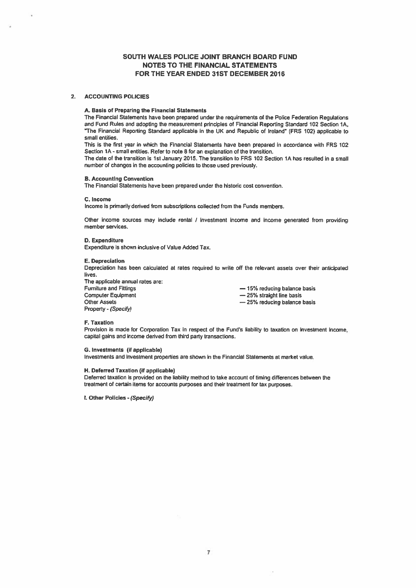### 2. ACCOUNTING POLICIES

### A. Basis of Preparing the Financial Statements

The Financial Statements have been prepared under the requirements of the Police Federation Regulations and Fund Rules and adopting the measurement principles of Financial Reporting Standard 102 Section IA. iThe Financial Reporting Standard applicable in the UK and Republic of Ireland" (FRS 102) applicable to small entities.

This is the first year in which the Financial Statements have been prepared in accordance with FRS 102 Section 1A - small entities. Refer to note 8 for an explanation of the transition.

The date of the transition is 1st January 2015. The transition to FRS 102 Section 1A has resulted in <sup>a</sup> small number of changes in the accounting policies to those used previously.

### B. Accounting Convention

The Financial Statements have been prepared under the historic cost convention.

#### C. Income

Income is primarily derived from subscriptions collected from the Funds members.

Other income sources may include rental / investment income and income generated from providing member services.

### D. Expenditure

Expenditure is shown inclusive of Value Added Tax.

#### **E. Depreciation**

Depreciation has been calculated at rates required to write off the relevant assets over their anticipated lives.

The applicable annual rates are: Furniture and Fittings **Example 2018** — 15% reducing balance basis<br>
Computer Equipment **Funding Computer Computer** 25% straight line basis Computer Equipment<br>
Other Assets<br>
Other Assets<br>  $-25%$  reducing balance Property-(Specify)

- 25% reducing balance basis

#### F. Taxation

Provision is made for Corporation Tax in respect of the Fund's liability to taxation on investment income. capital gains and income derived from third party transactions.

#### C. Investments (if applicable)

Investments and investment properties are shown in the Financial Statements at market value.

### H. Deferred Taxation (if applicable)

Deferred taxation is provided on the liability method to take account of timing differences between the treatment of certain items for accounts purposes and their treatment for tax purposes.

I. Other Policies - (Specify)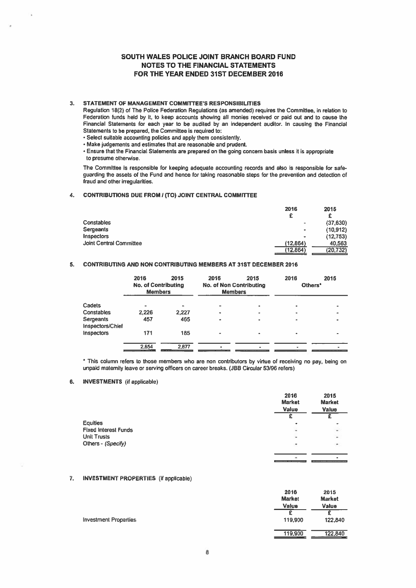### 3. STATEMENT OF MANAGEMENT COMMITTEE'S RESPONSIBILITIES

Regulation 18(2) of The Police Federation Regulations (as amended) requires the Committee, in relation to Federation funds held by it, to keep accounts showing all monies received or paid out and to cause the Financial Statements for each year to be audited by an independent auditor, In causing the Financial Statements to be prepared, the Committee is required to:

Select suitable accounling policies and apply them consistently.

Make judgements and estimates that are reasonable and prudent.

Ensure that the Financial Statements are prepared on the going concern basis unless it is appropriale to presume otherwise.

The Committee is responsible for keeping adequate accounting records and also is responsible for safe guarding the assets of the Fund and hence for taking reasonable steps for the prevention and detection of fraud and other irregularities.

### 4. CONTRIBUTIONS DUE FROM / (TO) JOINT CENTRAL COMMITTEE

|                                | 2016      | 2015     |
|--------------------------------|-----------|----------|
|                                | £         | £        |
| <b>Constables</b>              | ۰         | (37,630) |
| <b>Sergeants</b>               | $\bullet$ | (10.912) |
| <b>Inspectors</b>              | ٠         | (12,753) |
| <b>Joint Central Committee</b> | (12, 864) | 40,563   |
|                                | (12, 864) | (20,732) |

### 5. CONTRIBUTING AND NON CONTRIBUTING MEMBERS AT 31ST DECEMBER 2016

|                               | 2016<br><b>No. of Contributing</b><br><b>Members</b> | 2015  | 2016<br><b>No. of Non Contributing</b><br><b>Members</b> | 2015 | 2016 | 2015<br>Others <sup>*</sup> |
|-------------------------------|------------------------------------------------------|-------|----------------------------------------------------------|------|------|-----------------------------|
| Cadets                        | ۰                                                    |       |                                                          |      |      |                             |
| Constables                    | 2,226                                                | 2,227 | ٠                                                        |      |      |                             |
| Sergeants<br>Inspectors/Chief | 457                                                  | 465   | $\bullet$                                                |      |      |                             |
| <b>Inspectors</b>             | 171                                                  | 185   | ۰                                                        |      |      |                             |
|                               | 2,854                                                | 2,877 |                                                          |      |      |                             |

\* This column refers to those members who are non contributors by virtue of receiving no pay, being on unpaid maternity leave or serving officers on career breaks. (JBB Circular 53/96 refers)

### 6. INVESTMENTS (if applicable)

|                             | 2016<br><b>Market</b><br>Value | 2015<br><b>Market</b><br>Value<br>F |
|-----------------------------|--------------------------------|-------------------------------------|
|                             |                                |                                     |
| <b>Equities</b>             | ۰                              |                                     |
| <b>Fixed Interest Funds</b> | $\overline{\phantom{a}}$       |                                     |
| <b>Unit Trusts</b>          | ü                              | $\ddot{\phantom{0}}$                |
| Others - (Specify)          | ۰                              | $\sim$                              |
|                             |                                |                                     |

### 7. INVESTMENT PROPERTIES (if applicable)

|                              | 2016<br><b>Market</b><br><b>Value</b> | 2015<br><b>Market</b><br>Value |
|------------------------------|---------------------------------------|--------------------------------|
|                              |                                       | c                              |
| <b>Investment Properties</b> | 119,900                               | 122,840                        |
|                              | 119,900                               | 122,840                        |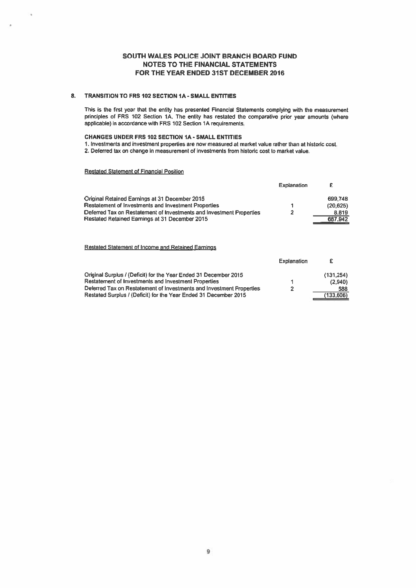### 8. TRANSITION TO FRS 102 SECTION IA - SMALL ENTITIES

This is the first year that the entity has presented Financial Statements complying with the measurement principles of FRS 102 Section 1A. The entity has restated the comparative prior year amounts (where applicable) in accordance with FRS 102 Section 1A requirements.

### CHANGES UNDER FRS 102 SECTION 1A - SMALL ENTITIES

1. Investments and investment properties are now measured at market value rather than at historic cost. 2. Deferred tax on change in measurement of investments from historic cost to market value.

### Restated Statement of Financial Position

|                                                                      | <b>Explanation</b> | £         |
|----------------------------------------------------------------------|--------------------|-----------|
| Original Retained Earnings at 31 December 2015                       |                    | 699,748   |
| <b>Restatement of Investments and Investment Properties</b>          |                    | (20, 625) |
| Deferred Tax on Restatement of Investments and Investment Properties | 2                  | 8,819     |
| Restated Retained Earnings at 31 December 2015                       |                    | 687,942   |
|                                                                      |                    |           |
|                                                                      |                    |           |

Restated Statement of Income and Retained Eaminos

|                                                                      | Explanation |            |
|----------------------------------------------------------------------|-------------|------------|
| Original Surplus / (Deficit) for the Year Ended 31 December 2015     |             | (131, 254) |
| Restatement of Investments and Investment Properties                 |             | (2.940)    |
| Deferred Tax on Restatement of Investments and Investment Properties | 2           | 588        |
| Restated Surplus / (Deficit) for the Year Ended 31 December 2015     |             | (133,606)  |